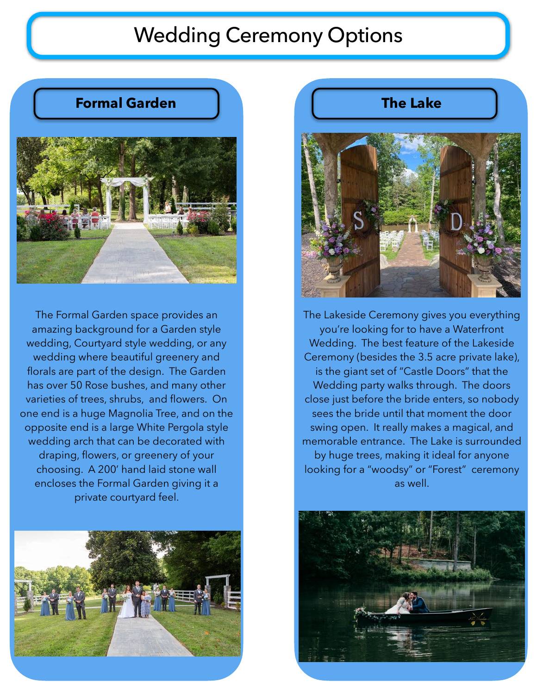# Wedding Ceremony Options

# **Formal Garden**



The Formal Garden space provides an amazing background for a Garden style wedding, Courtyard style wedding, or any wedding where beautiful greenery and florals are part of the design. The Garden has over 50 Rose bushes, and many other varieties of trees, shrubs, and flowers. On one end is a huge Magnolia Tree, and on the opposite end is a large White Pergola style wedding arch that can be decorated with draping, flowers, or greenery of your choosing. A 200' hand laid stone wall encloses the Formal Garden giving it a private courtyard feel.



# **The Lake**



The Lakeside Ceremony gives you everything you're looking for to have a Waterfront Wedding. The best feature of the Lakeside Ceremony (besides the 3.5 acre private lake), is the giant set of "Castle Doors" that the Wedding party walks through. The doors close just before the bride enters, so nobody sees the bride until that moment the door swing open. It really makes a magical, and [memorable entrance. The Lake is surrounded](http://www.apple.com)  by huge trees, making it ideal for anyone looking for a "woodsy" or "Forest" ceremony as well.

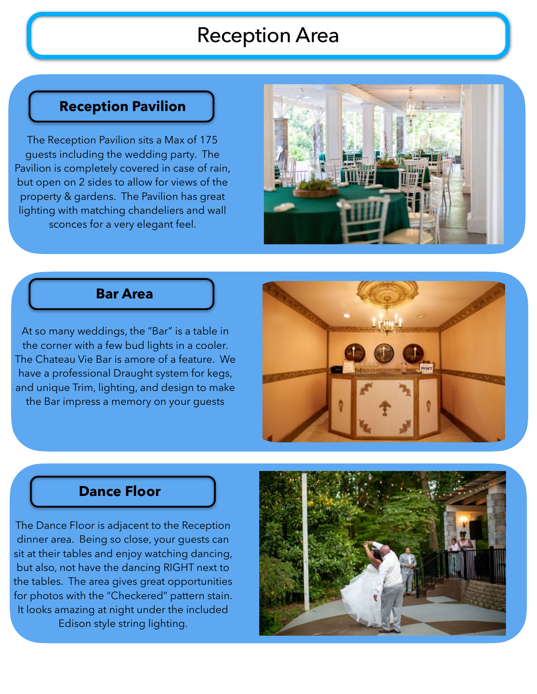# Reception Area

# **Reception Pavilion**

The Reception Pavilion sits a Max of 175 guests including the wedding party. The Pavilion is completely covered in case of rain, but open on 2 sides to allow for views of the property & gardens. The Pavilion has great lighting with matching chandeliers and wall sconces for a very elegant feel.



#### **Bar Area**

At so many weddings, the "Bar" is a table in the corner with a few bud lights in a cooler. The Chateau Vie Bar is amore of a feature. We have a professional Draught system for kegs, and unique Trim, lighting, and design to make the Bar impress a memory on your guests



#### **Dance Floor**

The Dance Floor is adjacent to the Reception dinner area. Being so close, your guests can sit at their tables and enjoy watching dancing, but also, not have the dancing RIGHT next to the tables. The area gives great opportunities for photos with the "Checkered" pattern stain. It looks amazing at night under the included Edison style string lighting.

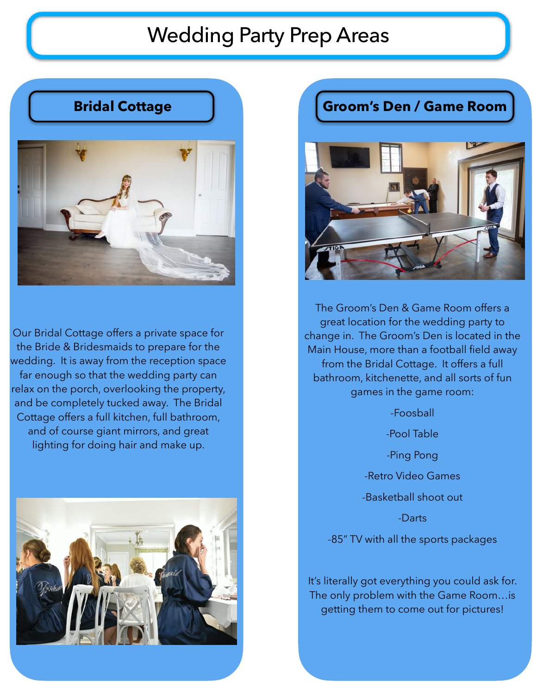# Wedding Party Prep Areas





Our Bridal Cottage offers a private space for the Bride & Bridesmaids to prepare for the wedding. It is away from the reception space far enough so that the wedding party can relax on the porch, overlooking the property, and be completely tucked away. The Bridal Cottage offers a full kitchen, full bathroom, and of course giant mirrors, and great lighting for doing hair and make up.



# **Groom's Den / Game Room**



The Groom's Den & Game Room offers a great location for the wedding party to change in. The Groom's Den is located in the Main House, more than a football field away from the Bridal Cottage. It offers a full bathroom, kitchenette, and all sorts of fun games in the game room:

-Foosball

-Pool Table -Ping Pong

-Retro Video Games

-Basketball shoot out

-Darts

-85" TV with all the sports packages

It's literally got everything you could ask for. The only problem with the Game Room…is getting them to come out for pictures!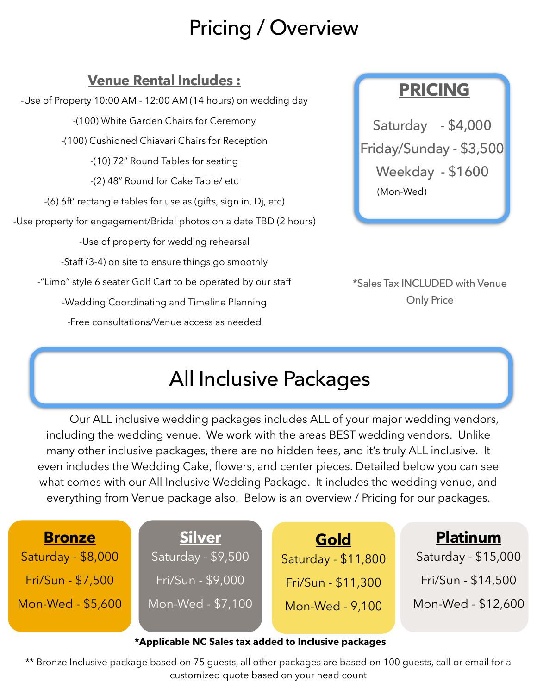# Pricing / Overview

# **Venue Rental Includes :**

-Use of Property 10:00 AM - 12:00 AM (14 hours) on wedding day -(100) White Garden Chairs for Ceremony -(100) Cushioned Chiavari Chairs for Reception -(10) 72" Round Tables for seating -(2) 48" Round for Cake Table/ etc -(6) 6ft' rectangle tables for use as (gifts, sign in, Dj, etc) -Use property for engagement/Bridal photos on a date TBD (2 hours) -Use of property for wedding rehearsal -Staff (3-4) on site to ensure things go smoothly -"Limo" style 6 seater Golf Cart to be operated by our staff -Wedding Coordinating and Timeline Planning -Free consultations/Venue access as needed

# **PRICING**

Saturday - \$4,000 Friday/Sunday - \$3,500 Weekday - \$1600 (Mon-Wed)

\*Sales Tax INCLUDED with Venue Only Price

# All Inclusive Packages

 Our ALL inclusive wedding packages includes ALL of your major wedding vendors, including the wedding venue. We work with the areas BEST wedding vendors. Unlike many other inclusive packages, there are no hidden fees, and it's truly ALL inclusive. It even includes the Wedding Cake, flowers, and center pieces. Detailed below you can see what comes with our All Inclusive Wedding Package. It includes the wedding venue, and everything from Venue package also. Below is an overview / Pricing for our packages.

| <b>Bronze</b>                                        | <b>Silver</b>      | Gold                | <b>Platinum</b>     |  |  |
|------------------------------------------------------|--------------------|---------------------|---------------------|--|--|
| Saturday - \$8,000                                   | Saturday - \$9,500 | Saturday - \$11,800 | Saturday - \$15,000 |  |  |
| Fri/Sun - \$7,500                                    | Fri/Sun - \$9,000  | Fri/Sun - \$11,300  | Fri/Sun - \$14,500  |  |  |
| Mon-Wed - \$5,600                                    | Mon-Wed - \$7,100  | Mon-Wed - 9,100     | Mon-Wed - \$12,600  |  |  |
|                                                      |                    |                     |                     |  |  |
| *Applicable NC Sales tax added to Inclusive packages |                    |                     |                     |  |  |

\*\* Bronze Inclusive package based on 75 guests, all other packages are based on 100 guests, call or email for a customized quote based on your head count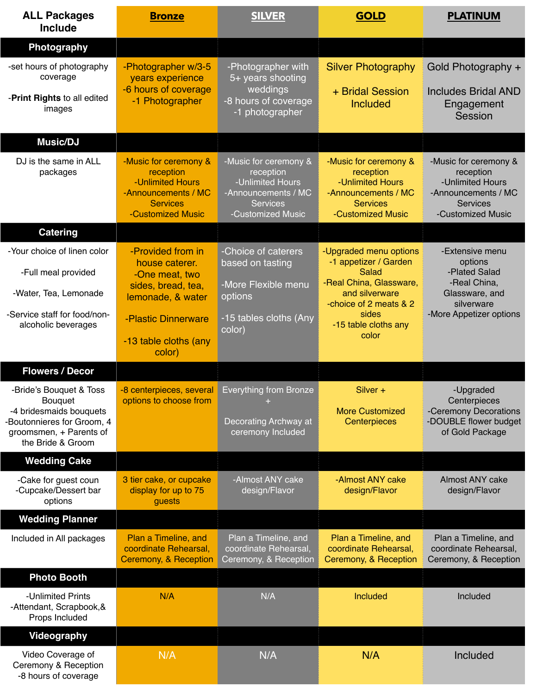| <b>ALL Packages</b><br><b>Include</b>                                                                                                      | <b>Bronze</b>                                                                                                           | <b>SILVER</b>                                                                                                         | <b>GOLD</b>                                                                                                                                                               | <b>PLATINUM</b>                                                                                                        |
|--------------------------------------------------------------------------------------------------------------------------------------------|-------------------------------------------------------------------------------------------------------------------------|-----------------------------------------------------------------------------------------------------------------------|---------------------------------------------------------------------------------------------------------------------------------------------------------------------------|------------------------------------------------------------------------------------------------------------------------|
| Photography                                                                                                                                |                                                                                                                         |                                                                                                                       |                                                                                                                                                                           |                                                                                                                        |
| -set hours of photography<br>coverage<br>-Print Rights to all edited<br>images                                                             | -Photographer w/3-5<br>years experience<br>-6 hours of coverage<br>-1 Photographer                                      | -Photographer with<br>5+ years shooting<br>weddings<br>-8 hours of coverage<br>-1 photographer                        | <b>Silver Photography</b><br>+ Bridal Session<br><b>Included</b>                                                                                                          | Gold Photography +<br><b>Includes Bridal AND</b><br>Engagement<br>Session                                              |
| Music/DJ                                                                                                                                   |                                                                                                                         |                                                                                                                       |                                                                                                                                                                           |                                                                                                                        |
| DJ is the same in ALL<br>packages                                                                                                          | -Music for ceremony &<br>reception<br>-Unlimited Hours<br>-Announcements / MC<br><b>Services</b><br>-Customized Music   | -Music for ceremony &<br>reception<br>-Unlimited Hours<br>-Announcements / MC<br><b>Services</b><br>-Customized Music | -Music for ceremony &<br>reception<br>-Unlimited Hours<br>-Announcements / MC<br><b>Services</b><br>-Customized Music                                                     | -Music for ceremony &<br>reception<br>-Unlimited Hours<br>-Announcements / MC<br><b>Services</b><br>-Customized Music  |
| <b>Catering</b>                                                                                                                            |                                                                                                                         |                                                                                                                       |                                                                                                                                                                           |                                                                                                                        |
| -Your choice of linen color<br>-Full meal provided<br>-Water, Tea, Lemonade<br>-Service staff for food/non-<br>alcoholic beverages         | -Provided from in<br>house caterer.<br>-One meat, two<br>sides, bread, tea,<br>lemonade, & water<br>-Plastic Dinnerware | -Choice of caterers<br>based on tasting<br>-More Flexible menu<br>options<br>-15 tables cloths (Any<br>color)         | -Upgraded menu options<br>-1 appetizer / Garden<br>Salad<br>-Real China, Glassware,<br>and silverware<br>-choice of 2 meats & 2<br>sides<br>-15 table cloths any<br>color | -Extensive menu<br>options<br>-Plated Salad<br>-Real China,<br>Glassware, and<br>silverware<br>-More Appetizer options |
|                                                                                                                                            | -13 table cloths (any<br>color)                                                                                         |                                                                                                                       |                                                                                                                                                                           |                                                                                                                        |
| <b>Flowers / Decor</b>                                                                                                                     |                                                                                                                         |                                                                                                                       |                                                                                                                                                                           |                                                                                                                        |
| -Bride's Bouquet & Toss<br>Bouquet<br>-4 bridesmaids bouquets<br>Boutonnieres for Groom, 4<br>groomsmen, + Parents of<br>the Bride & Groom | -8 centerpieces, several<br>options to choose from                                                                      | <b>Everything from Bronze</b><br>Decorating Archway at<br>ceremony Included                                           | Silver +<br><b>More Customized</b><br>Centerpieces                                                                                                                        | -Upgraded<br>Centerpieces<br>-Ceremony Decorations<br>-DOUBLE flower budget<br>of Gold Package                         |
| <b>Wedding Cake</b>                                                                                                                        |                                                                                                                         |                                                                                                                       |                                                                                                                                                                           |                                                                                                                        |
| -Cake for guest coun<br>-Cupcake/Dessert bar<br>options                                                                                    | 3 tier cake, or cupcake<br>display for up to 75<br>guests                                                               | -Almost ANY cake<br>design/Flavor                                                                                     | -Almost ANY cake<br>design/Flavor                                                                                                                                         | Almost ANY cake<br>design/Flavor                                                                                       |
| <b>Wedding Planner</b>                                                                                                                     |                                                                                                                         |                                                                                                                       |                                                                                                                                                                           |                                                                                                                        |
| Included in All packages                                                                                                                   | Plan a Timeline, and<br>coordinate Rehearsal,<br>Ceremony, & Reception                                                  | Plan a Timeline, and<br>coordinate Rehearsal,<br>Ceremony, & Reception                                                | Plan a Timeline, and<br>coordinate Rehearsal,<br>Ceremony, & Reception                                                                                                    | Plan a Timeline, and<br>coordinate Rehearsal,<br>Ceremony, & Reception                                                 |
| <b>Photo Booth</b>                                                                                                                         |                                                                                                                         |                                                                                                                       |                                                                                                                                                                           |                                                                                                                        |
| -Unlimited Prints<br>-Attendant, Scrapbook, &<br>Props Included                                                                            | N/A                                                                                                                     | N/A                                                                                                                   | Included                                                                                                                                                                  | Included                                                                                                               |
| <b>Videography</b>                                                                                                                         |                                                                                                                         |                                                                                                                       |                                                                                                                                                                           |                                                                                                                        |
| Video Coverage of<br>Ceremony & Reception<br>-8 hours of coverage                                                                          | N/A                                                                                                                     | N/A                                                                                                                   | N/A                                                                                                                                                                       | Included                                                                                                               |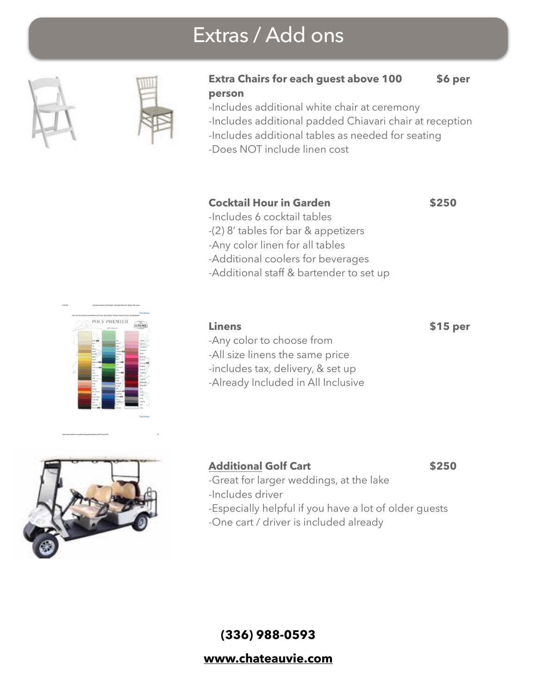# Extras / Add ons





#### **Extra Chairs for each guest above 100 \$6 per person**

-Includes additional white chair at ceremony -Includes additional padded Chiavari chair at reception -Includes additional tables as needed for seating

-Does NOT include linen cost

#### **Cocktail Hour in Garden 6250**

- -Includes 6 cocktail tables
- -(2) 8' tables for bar & appetizers
- -Any color linen for all tables
- -Additional coolers for beverages
- -Additional staff & bartender to set up

# POLY PREMIER

#### **Linens \$15 per**

- -Any color to choose from
- -All size linens the same price
- -includes tax, delivery, & set up
- -Already Included in All Inclusive



#### Additional Golf Cart **\$250**

- -Great for larger weddings, at the lake
- -Includes driver
- -Especially helpful if you have a lot of older guests
- -One cart / driver is included already

**(336) 988-0593** 

#### **[www.chateauvie.com](http://www.chateauvie.com)**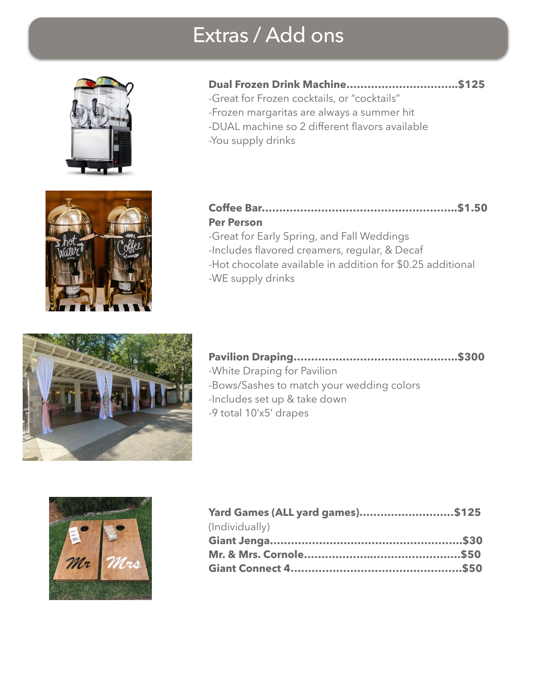# Extras / Add ons





# **Dual Frozen Drink Machine…………………………..\$125**

-Great for Frozen cocktails, or "cocktails" -Frozen margaritas are always a summer hit -DUAL machine so 2 different flavors available -You supply drinks

#### **Coffee Bar………………………………………………..\$1.50 Per Person**

-Great for Early Spring, and Fall Weddings -Includes flavored creamers, regular, & Decaf -Hot chocolate available in addition for \$0.25 additional -WE supply drinks



#### **Pavilion Draping………………………………………..\$300**

- -White Draping for Pavilion -Bows/Sashes to match your wedding colors
- -Includes set up & take down
- -9 total 10'x5' drapes



| Yard Games (ALL yard games)\$125 |  |
|----------------------------------|--|
| (Individually)                   |  |
|                                  |  |
|                                  |  |
|                                  |  |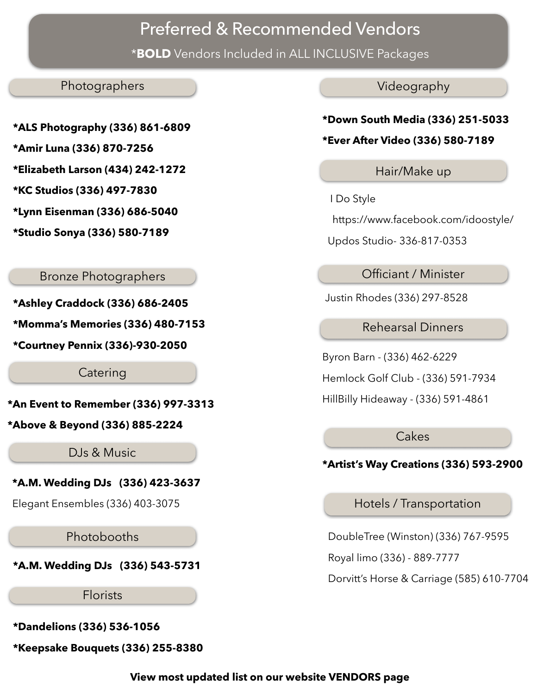# Preferred & Recommended Vendors

\***BOLD** Vendors Included in ALL INCLUSIVE Packages

#### Photographers

- **\*ALS Photography (336) 861-6809 \*Amir Luna (336) 870-7256**
- **\*Elizabeth Larson (434) 242-1272**
- **\*KC Studios (336) 497-7830**
- **\*Lynn Eisenman (336) 686-5040**
- **\*Studio Sonya (336) 580-7189**

#### Bronze Photographers

**\*Ashley Craddock (336) 686-2405 \*Momma's Memories (336) 480-7153** 

**\*Courtney Pennix (336)-930-2050**

Catering

**\*An Event to Remember (336) 997-3313** 

**\*Above & Beyond (336) 885-2224**

DJs & Music

**\*A.M. Wedding DJs (336) 423-3637** 

Elegant Ensembles (336) 403-3075

Photobooths

**\*A.M. Wedding DJs (336) 543-5731** 

Florists

**\*Dandelions (336) 536-1056** 

**\*Keepsake Bouquets (336) 255-8380** 

Videography

## **\*Down South Media (336) 251-5033**

#### **\*Ever After Video (336) 580-7189**

Hair/Make up

I Do Style

https://www.facebook.com/idoostyle/

Updos Studio- 336-817-0353

Officiant / Minister

Justin Rhodes (336) 297-8528

Rehearsal Dinners

Byron Barn - (336) 462-6229

Hemlock Golf Club - (336) 591-7934

HillBilly Hideaway - (336) 591-4861

**Cakes** 

#### **\*Artist's Way Creations (336) 593-2900**

Hotels / Transportation

DoubleTree (Winston) (336) 767-9595

Royal limo (336) - 889-7777

Dorvitt's Horse & Carriage (585) 610-7704

**View most updated list on our website VENDORS page**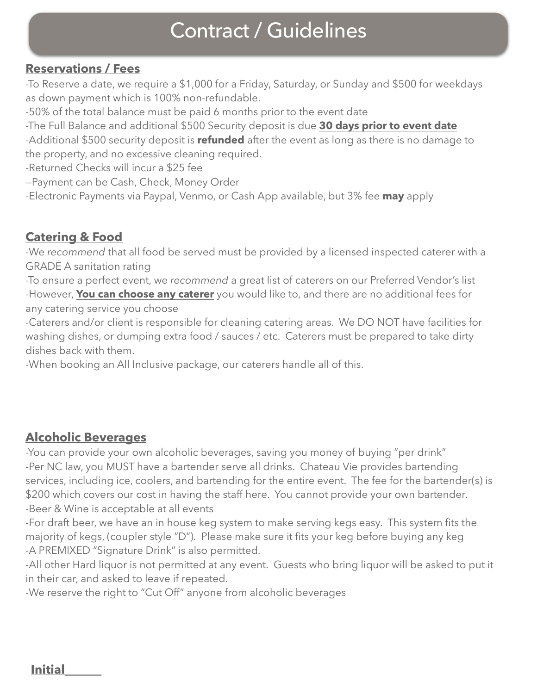# Contract / Guidelines

#### **Reservations / Fees**

-To Reserve a date, we require a \$1,000 for a Friday, Saturday, or Sunday and \$500 for weekdays as down payment which is 100% non-refundable.

-50% of the total balance must be paid 6 months prior to the event date

-The Full Balance and additional \$500 Security deposit is due **30 days prior to event date**  -Additional \$500 security deposit is **refunded** after the event as long as there is no damage to

the property, and no excessive cleaning required. -Returned Checks will incur a \$25 fee

—Payment can be Cash, Check, Money Order

-Electronic Payments via Paypal, Venmo, or Cash App available, but 3% fee **may** apply

## **Catering & Food**

-We *recommend* that all food be served must be provided by a licensed inspected caterer with a GRADE A sanitation rating

-To ensure a perfect event, we *recommend* a great list of caterers on our Preferred Vendor's list -However, **You can choose any caterer** you would like to, and there are no additional fees for any catering service you choose

-Caterers and/or client is responsible for cleaning catering areas. We DO NOT have facilities for washing dishes, or dumping extra food / sauces / etc. Caterers must be prepared to take dirty dishes back with them.

-When booking an All Inclusive package, our caterers handle all of this.

## **Alcoholic Beverages**

-You can provide your own alcoholic beverages, saving you money of buying "per drink" -Per NC law, you MUST have a bartender serve all drinks. Chateau Vie provides bartending services, including ice, coolers, and bartending for the entire event. The fee for the bartender(s) is \$200 which covers our cost in having the staff here. You cannot provide your own bartender. -Beer & Wine is acceptable at all events

-For draft beer, we have an in house keg system to make serving kegs easy. This system fits the majority of kegs, (coupler style "D"). Please make sure it fits your keg before buying any keg -A PREMIXED "Signature Drink" is also permitted.

-All other Hard liquor is not permitted at any event. Guests who bring liquor will be asked to put it in their car, and asked to leave if repeated.

-We reserve the right to "Cut Off" anyone from alcoholic beverages

**Initial\_\_\_\_\_\_**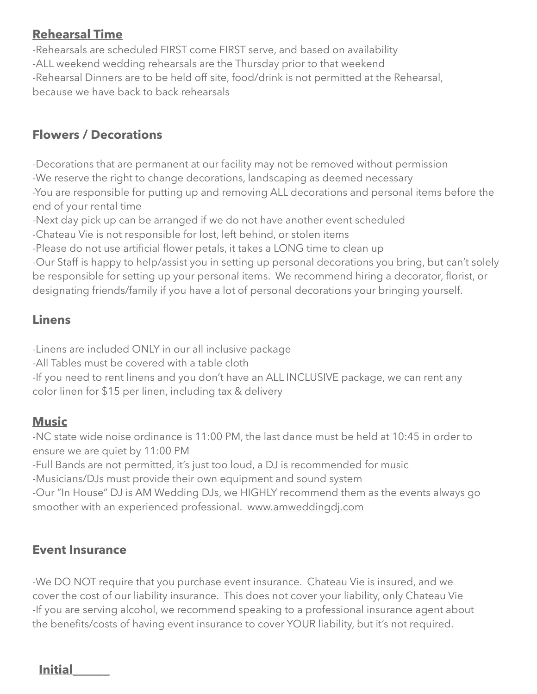#### **Rehearsal Time**

-Rehearsals are scheduled FIRST come FIRST serve, and based on availability -ALL weekend wedding rehearsals are the Thursday prior to that weekend -Rehearsal Dinners are to be held off site, food/drink is not permitted at the Rehearsal, because we have back to back rehearsals

# **Flowers / Decorations**

-Decorations that are permanent at our facility may not be removed without permission -We reserve the right to change decorations, landscaping as deemed necessary -You are responsible for putting up and removing ALL decorations and personal items before the end of your rental time

-Next day pick up can be arranged if we do not have another event scheduled

-Chateau Vie is not responsible for lost, left behind, or stolen items

-Please do not use artificial flower petals, it takes a LONG time to clean up

-Our Staff is happy to help/assist you in setting up personal decorations you bring, but can't solely be responsible for setting up your personal items. We recommend hiring a decorator, florist, or designating friends/family if you have a lot of personal decorations your bringing yourself.

# **Linens**

-Linens are included ONLY in our all inclusive package

-All Tables must be covered with a table cloth

-If you need to rent linens and you don't have an ALL INCLUSIVE package, we can rent any color linen for \$15 per linen, including tax & delivery

#### **Music**

-NC state wide noise ordinance is 11:00 PM, the last dance must be held at 10:45 in order to ensure we are quiet by 11:00 PM

-Full Bands are not permitted, it's just too loud, a DJ is recommended for music

-Musicians/DJs must provide their own equipment and sound system

-Our "In House" DJ is AM Wedding DJs, we HIGHLY recommend them as the events always go smoother with an experienced professional. [www.amweddingdj.com](http://www.amweddingdj.com)

## **Event Insurance**

-We DO NOT require that you purchase event insurance. Chateau Vie is insured, and we cover the cost of our liability insurance. This does not cover your liability, only Chateau Vie -If you are serving alcohol, we recommend speaking to a professional insurance agent about the benefits/costs of having event insurance to cover YOUR liability, but it's not required.

**Initial\_\_\_\_\_\_**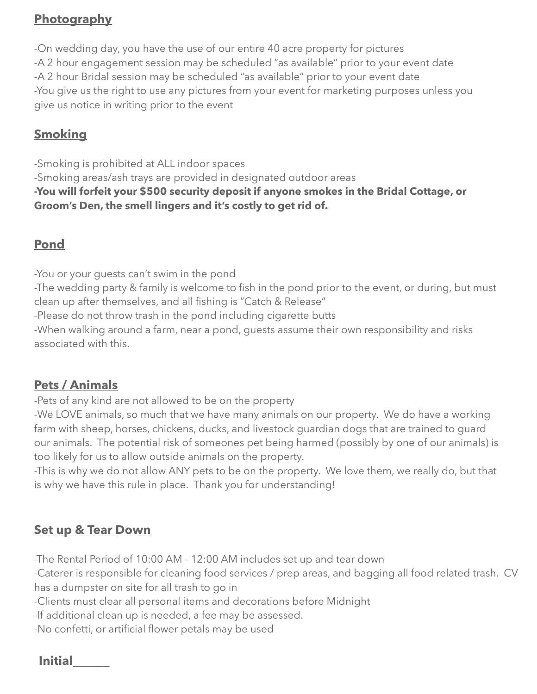# **Photography**

-On wedding day, you have the use of our entire 40 acre property for pictures -A 2 hour engagement session may be scheduled "as available" prior to your event date -A 2 hour Bridal session may be scheduled "as available" prior to your event date -You give us the right to use any pictures from your event for marketing purposes unless you give us notice in writing prior to the event

## **Smoking**

-Smoking is prohibited at ALL indoor spaces -Smoking areas/ash trays are provided in designated outdoor areas **-You will forfeit your \$500 security deposit if anyone smokes in the Bridal Cottage, or Groom's Den, the smell lingers and it's costly to get rid of.**

## **Pond**

-You or your guests can't swim in the pond -The wedding party & family is welcome to fish in the pond prior to the event, or during, but must clean up after themselves, and all fishing is "Catch & Release" -Please do not throw trash in the pond including cigarette butts -When walking around a farm, near a pond, guests assume their own responsibility and risks associated with this.

#### **Pets / Animals**

-Pets of any kind are not allowed to be on the property

-We LOVE animals, so much that we have many animals on our property. We do have a working farm with sheep, horses, chickens, ducks, and livestock guardian dogs that are trained to guard our animals. The potential risk of someones pet being harmed (possibly by one of our animals) is too likely for us to allow outside animals on the property.

-This is why we do not allow ANY pets to be on the property. We love them, we really do, but that is why we have this rule in place. Thank you for understanding!

#### **Set up & Tear Down**

-The Rental Period of 10:00 AM - 12:00 AM includes set up and tear down

-Caterer is responsible for cleaning food services / prep areas, and bagging all food related trash. CV has a dumpster on site for all trash to go in

-Clients must clear all personal items and decorations before Midnight

-If additional clean up is needed, a fee may be assessed.

-No confetti, or artificial flower petals may be used

#### **Initial\_\_\_\_\_\_**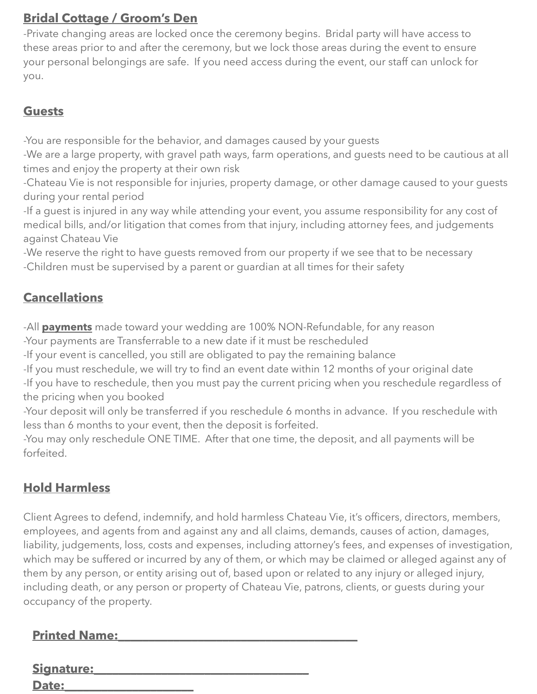# **Bridal Cottage / Groom's Den**

-Private changing areas are locked once the ceremony begins. Bridal party will have access to these areas prior to and after the ceremony, but we lock those areas during the event to ensure your personal belongings are safe. If you need access during the event, our staff can unlock for you.

## **Guests**

-You are responsible for the behavior, and damages caused by your guests

-We are a large property, with gravel path ways, farm operations, and guests need to be cautious at all times and enjoy the property at their own risk

-Chateau Vie is not responsible for injuries, property damage, or other damage caused to your guests during your rental period

-If a guest is injured in any way while attending your event, you assume responsibility for any cost of medical bills, and/or litigation that comes from that injury, including attorney fees, and judgements against Chateau Vie

-We reserve the right to have guests removed from our property if we see that to be necessary -Children must be supervised by a parent or guardian at all times for their safety

# **Cancellations**

-All **payments** made toward your wedding are 100% NON-Refundable, for any reason -Your payments are Transferrable to a new date if it must be rescheduled

-If your event is cancelled, you still are obligated to pay the remaining balance

-If you must reschedule, we will try to find an event date within 12 months of your original date

-If you have to reschedule, then you must pay the current pricing when you reschedule regardless of the pricing when you booked

-Your deposit will only be transferred if you reschedule 6 months in advance. If you reschedule with less than 6 months to your event, then the deposit is forfeited.

-You may only reschedule ONE TIME. After that one time, the deposit, and all payments will be forfeited.

# **Hold Harmless**

Client Agrees to defend, indemnify, and hold harmless Chateau Vie, it's officers, directors, members, employees, and agents from and against any and all claims, demands, causes of action, damages, liability, judgements, loss, costs and expenses, including attorney's fees, and expenses of investigation, which may be suffered or incurred by any of them, or which may be claimed or alleged against any of them by any person, or entity arising out of, based upon or related to any injury or alleged injury, including death, or any person or property of Chateau Vie, patrons, clients, or guests during your occupancy of the property.

| <b>Printed Name:</b> |  |
|----------------------|--|
|                      |  |
| Signature:           |  |
| <b>Date:</b>         |  |